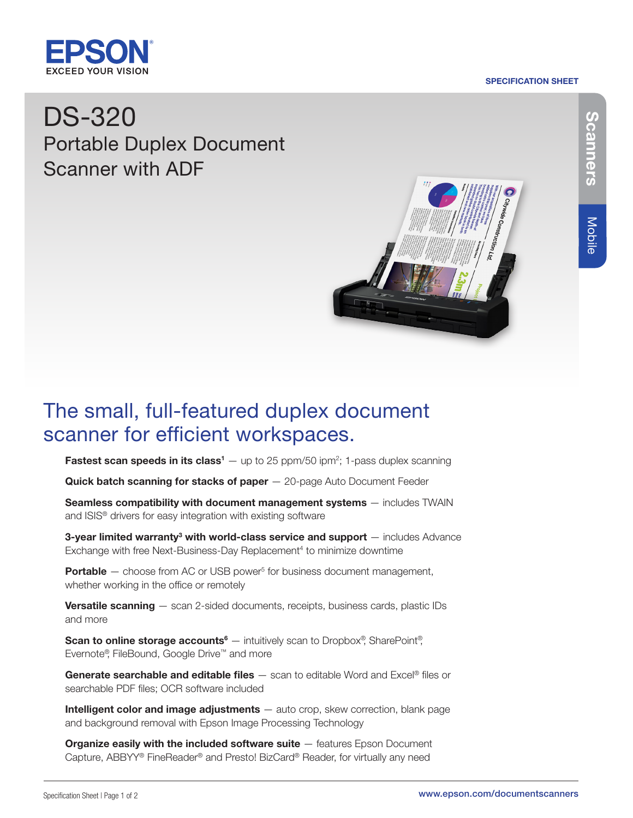### SPECIFICATION SHEET



# DS-320 Portable Duplex Document Scanner with ADF



## The small, full-featured duplex document scanner for efficient workspaces.

**Fastest scan speeds in its class<sup>1</sup>**  $-$  up to 25 ppm/50 ipm<sup>2</sup>; 1-pass duplex scanning

Quick batch scanning for stacks of paper - 20-page Auto Document Feeder

Seamless compatibility with document management systems - includes TWAIN and ISIS® drivers for easy integration with existing software

**3-year limited warranty<sup>3</sup> with world-class service and support**  $-$  includes Advance Exchange with free Next-Business-Day Replacement<sup>4</sup> to minimize downtime

**Portable**  $-$  choose from AC or USB power<sup>5</sup> for business document management, whether working in the office or remotely

Versatile scanning - scan 2-sided documents, receipts, business cards, plastic IDs and more

Scan to online storage accounts<sup>6</sup> — intuitively scan to Dropbox<sup>®</sup>, SharePoint<sup>®</sup>, Evernote®, FileBound, Google Drive™ and more

**Generate searchable and editable files**  $-$  scan to editable Word and Excel® files or searchable PDF files; OCR software included

Intelligent color and image adjustments - auto crop, skew correction, blank page and background removal with Epson Image Processing Technology

**Organize easily with the included software suite**  $-$  features Epson Document Capture, ABBYY® FineReader® and Presto! BizCard® Reader, for virtually any need

Mobile